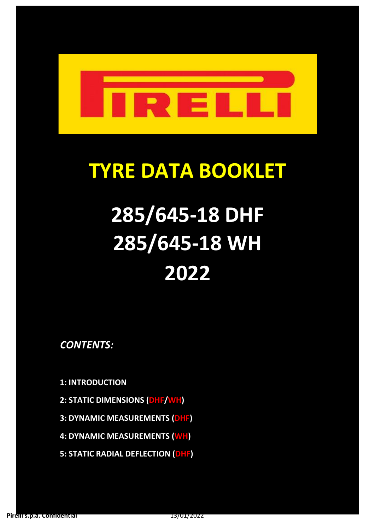

# **TYRE DATA BOOKLET**

# **285/645-18 DHF 285/645-18 WH 2022**

*CONTENTS:*

**1: INTRODUCTION**

- **2: STATIC DIMENSIONS (DHF/WH)**
- **3: DYNAMIC MEASUREMENTS (DHF)**
- **4: DYNAMIC MEASUREMENTS (WH)**
- **5: STATIC RADIAL DEFLECTION (DHF)**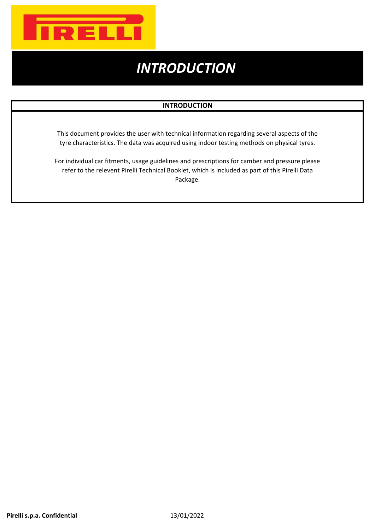

### *INTRODUCTION*

#### **INTRODUCTION**

This document provides the user with technical information regarding several aspects of the tyre characteristics. The data was acquired using indoor testing methods on physical tyres.

For individual car fitments, usage guidelines and prescriptions for camber and pressure please refer to the relevent Pirelli Technical Booklet, which is included as part of this Pirelli Data Package.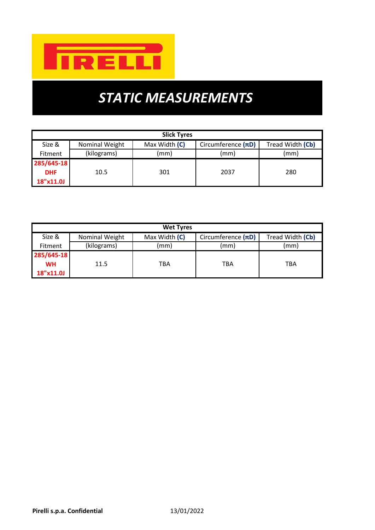

## *STATIC MEASUREMENTS*

| <b>Slick Tyres</b>            |                |               |                         |                  |  |  |  |  |
|-------------------------------|----------------|---------------|-------------------------|------------------|--|--|--|--|
| Size &                        | Nominal Weight | Max Width (C) | Circumference $(\pi D)$ | Tread Width (Cb) |  |  |  |  |
| (kilograms)<br><b>Fitment</b> |                | (mm)          | (mm)                    | (mm)             |  |  |  |  |
| 285/645-18                    |                |               |                         |                  |  |  |  |  |
| <b>DHF</b>                    | 10.5           | 301           | 2037                    | 280              |  |  |  |  |
| 18"x11.0J                     |                |               |                         |                  |  |  |  |  |

| <b>Wet Tyres</b> |                     |               |                         |                  |  |  |  |  |
|------------------|---------------------|---------------|-------------------------|------------------|--|--|--|--|
| Size &           | Nominal Weight      | Max Width (C) | Circumference $(\pi D)$ | Tread Width (Cb) |  |  |  |  |
| <b>Fitment</b>   | (kilograms)<br>(mm) |               | (mm)                    | (mm)             |  |  |  |  |
| 285/645-18       |                     |               |                         |                  |  |  |  |  |
| <b>WH</b>        | 11.5                | TBA           | TBA                     | <b>TBA</b>       |  |  |  |  |
| 18"x11.0J        |                     |               |                         |                  |  |  |  |  |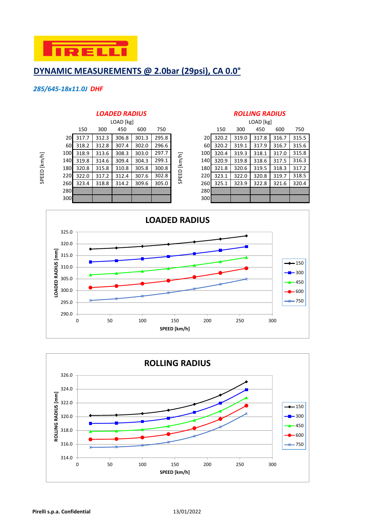

#### **DYNAMIC MEASUREMENTS @ 2.0bar (29psi), CA 0.0°**

#### *285/645-18x11.0J DHF*

SPEED [km/h]

SPEED [km/h]

| LOAD [kg]                 |       |       |       |       |     |                             |                                                                                      |       |       |       |           |
|---------------------------|-------|-------|-------|-------|-----|-----------------------------|--------------------------------------------------------------------------------------|-------|-------|-------|-----------|
| 150                       | 300   | 450   | 600   | 750   |     |                             | 150                                                                                  | 300   | 450   | 600   | 750       |
| 317.7<br>20 <b>1</b>      | 312.3 | 306.8 | 301.3 | 295.8 |     |                             |                                                                                      | 319.0 | 317.8 | 316.7 | 315.5     |
| 60<br>318.2               | 312.8 | 307.4 | 302.0 | 296.6 | 60I | 320.2                       | 319.1                                                                                | 317.9 | 316.7 | 315.6 |           |
| 100I<br>318.9             | 313.6 | 308.3 | 303.0 | 297.7 |     |                             | 320.4                                                                                | 319.3 | 318.1 | 317.0 | 315.8     |
| 140 <b>1</b><br>319.8     | 314.6 | 309.4 | 304.3 | 299.1 |     |                             | 320.9                                                                                | 319.8 | 318.6 | 317.5 | 316.3     |
| 180 <sup> </sup><br>320.8 | 315.8 | 310.8 | 305.8 | 300.8 |     |                             | 321.8                                                                                | 320.6 | 319.5 | 318.3 | 317.2     |
| 220<br>322.0              | 317.2 | 312.4 | 307.6 | 302.8 |     |                             | 323.1                                                                                | 322.0 | 320.8 | 319.7 | 318.5     |
| 260 <b>1</b><br>323.4     | 318.8 | 314.2 | 309.6 | 305.0 |     |                             | 325.1                                                                                | 323.9 | 322.8 | 321.6 | 320.4     |
| 280                       |       |       |       |       |     |                             |                                                                                      |       |       |       |           |
| 300                       |       |       |       |       |     |                             |                                                                                      |       |       |       |           |
|                           |       |       |       |       |     | [km/h]<br>$\Omega$<br>SPEEI | 20 <b>1</b><br>100 <b>1</b><br>140I<br><b>180</b><br>220<br><b>260</b><br>280<br>300 | 320.2 |       |       | LOAD [kg] |

#### *LOADED RADIUS ROLLING RADIUS*

|      |       | LOAD [kg] |       |       |        | LOAD [kg]        |       |       |       |       |       |
|------|-------|-----------|-------|-------|--------|------------------|-------|-------|-------|-------|-------|
| 150  | 300   | 450       | 600   | 750   |        |                  | 150   | 300   | 450   | 600   | 750   |
| 17.7 | 312.3 | 306.8     | 301.3 | 295.8 |        | 20 <sup>1</sup>  | 320.2 | 319.0 | 317.8 | 316.7 | 315.5 |
| 18.2 | 312.8 | 307.4     | 302.0 | 296.6 |        | 60               | 320.2 | 319.1 | 317.9 | 316.7 | 315.6 |
| 18.9 | 313.6 | 308.3     | 303.0 | 297.7 |        | 100 <sub>1</sub> | 320.4 | 319.3 | 318.1 | 317.0 | 315.8 |
| 19.8 | 314.6 | 309.4     | 304.3 | 299.1 | [km/h] | 140              | 320.9 | 319.8 | 318.6 | 317.5 | 316.3 |
| 20.8 | 315.8 | 310.8     | 305.8 | 300.8 |        | 180              | 321.8 | 320.6 | 319.5 | 318.3 | 317.2 |
| 22.0 | 317.2 | 312.4     | 307.6 | 302.8 | SPEED  | 220              | 323.1 | 322.0 | 320.8 | 319.7 | 318.5 |
| 23.4 | 318.8 | 314.2     | 309.6 | 305.0 |        | 260              | 325.1 | 323.9 | 322.8 | 321.6 | 320.4 |
|      |       |           |       |       |        | 280              |       |       |       |       |       |
|      |       |           |       |       |        | 300              |       |       |       |       |       |



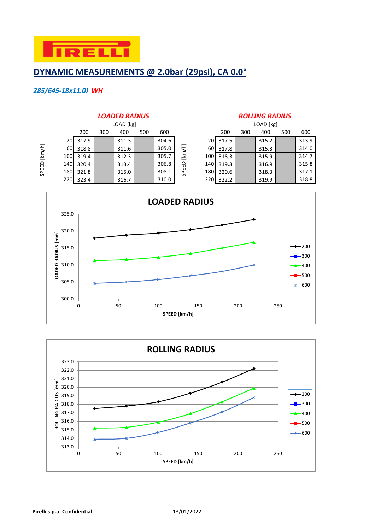

#### **DYNAMIC MEASUREMENTS @ 2.0bar (29psi), CA 0.0°**

#### *285/645-18x11.0J WH*

SPEED [km/h]

SPEED [km/h]

#### 200 300 400 500 600 200 300 400 500 600 20 317.9 311.3 304.6 20 317.5 315.2 315.2 60 318.8 311.6 305.0  $\leq$  60 317.8 315.3 314.0 100 319.4 | 312.3 | 305.7 | <u>본</u> 100 318.3 | 315.9 | 314.7 140 320.4 | 313.4 | 306.8 <del>Q</del> 140 319.3 | 316.9 | 315.8 180 321.8 315.0 315.0 308.1  $\frac{8}{9}$  308.1 3180 320.6 318.3 318.3 220 323.4 316.7 310.0 220 322.2 319.9 318.8 SPEED [km/h] LOAD [kg]

#### *LOADED RADIUS ROLLING RADIUS*

|    | LOAD [kg] |                   |       |  |       |  |  |  |  |  |  |
|----|-----------|-------------------|-------|--|-------|--|--|--|--|--|--|
|    | 200       | 400<br>300<br>500 |       |  |       |  |  |  |  |  |  |
| 20 | 317.5     |                   | 315.2 |  | 313.9 |  |  |  |  |  |  |
| 60 | 317.8     |                   | 315.3 |  | 314.0 |  |  |  |  |  |  |
| 00 | 318.3     |                   | 315.9 |  | 314.7 |  |  |  |  |  |  |
| 40 | 319.3     |                   | 316.9 |  | 315.8 |  |  |  |  |  |  |
| 80 | 320.6     |                   | 318.3 |  | 317.1 |  |  |  |  |  |  |
| 20 | 322.2     |                   | 319.9 |  | 318.8 |  |  |  |  |  |  |



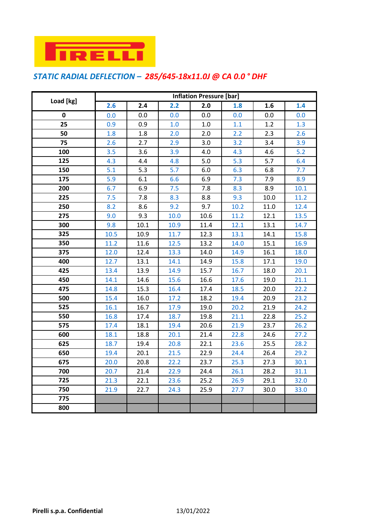

### *STATIC RADIAL DEFLECTION – 285/645-18x11.0J @ CA 0.0 ° DHF*

|           | <b>Inflation Pressure [bar]</b> |      |      |      |      |      |      |  |  |
|-----------|---------------------------------|------|------|------|------|------|------|--|--|
| Load [kg] | 2.6                             | 2.4  | 2.2  | 2.0  | 1.8  | 1.6  | 1.4  |  |  |
| 0         | 0.0                             | 0.0  | 0.0  | 0.0  | 0.0  | 0.0  | 0.0  |  |  |
| 25        | 0.9                             | 0.9  | 1.0  | 1.0  | 1.1  | 1.2  | 1.3  |  |  |
| 50        | 1.8                             | 1.8  | 2.0  | 2.0  | 2.2  | 2.3  | 2.6  |  |  |
| 75        | 2.6                             | 2.7  | 2.9  | 3.0  | 3.2  | 3.4  | 3.9  |  |  |
| 100       | 3.5                             | 3.6  | 3.9  | 4.0  | 4.3  | 4.6  | 5.2  |  |  |
| 125       | 4.3                             | 4.4  | 4.8  | 5.0  | 5.3  | 5.7  | 6.4  |  |  |
| 150       | 5.1                             | 5.3  | 5.7  | 6.0  | 6.3  | 6.8  | 7.7  |  |  |
| 175       | 5.9                             | 6.1  | 6.6  | 6.9  | 7.3  | 7.9  | 8.9  |  |  |
| 200       | 6.7                             | 6.9  | 7.5  | 7.8  | 8.3  | 8.9  | 10.1 |  |  |
| 225       | 7.5                             | 7.8  | 8.3  | 8.8  | 9.3  | 10.0 | 11.2 |  |  |
| 250       | 8.2                             | 8.6  | 9.2  | 9.7  | 10.2 | 11.0 | 12.4 |  |  |
| 275       | 9.0                             | 9.3  | 10.0 | 10.6 | 11.2 | 12.1 | 13.5 |  |  |
| 300       | 9.8                             | 10.1 | 10.9 | 11.4 | 12.1 | 13.1 | 14.7 |  |  |
| 325       | 10.5                            | 10.9 | 11.7 | 12.3 | 13.1 | 14.1 | 15.8 |  |  |
| 350       | 11.2                            | 11.6 | 12.5 | 13.2 | 14.0 | 15.1 | 16.9 |  |  |
| 375       | 12.0                            | 12.4 | 13.3 | 14.0 | 14.9 | 16.1 | 18.0 |  |  |
| 400       | 12.7                            | 13.1 | 14.1 | 14.9 | 15.8 | 17.1 | 19.0 |  |  |
| 425       | 13.4                            | 13.9 | 14.9 | 15.7 | 16.7 | 18.0 | 20.1 |  |  |
| 450       | 14.1                            | 14.6 | 15.6 | 16.6 | 17.6 | 19.0 | 21.1 |  |  |
| 475       | 14.8                            | 15.3 | 16.4 | 17.4 | 18.5 | 20.0 | 22.2 |  |  |
| 500       | 15.4                            | 16.0 | 17.2 | 18.2 | 19.4 | 20.9 | 23.2 |  |  |
| 525       | 16.1                            | 16.7 | 17.9 | 19.0 | 20.2 | 21.9 | 24.2 |  |  |
| 550       | 16.8                            | 17.4 | 18.7 | 19.8 | 21.1 | 22.8 | 25.2 |  |  |
| 575       | 17.4                            | 18.1 | 19.4 | 20.6 | 21.9 | 23.7 | 26.2 |  |  |
| 600       | 18.1                            | 18.8 | 20.1 | 21.4 | 22.8 | 24.6 | 27.2 |  |  |
| 625       | 18.7                            | 19.4 | 20.8 | 22.1 | 23.6 | 25.5 | 28.2 |  |  |
| 650       | 19.4                            | 20.1 | 21.5 | 22.9 | 24.4 | 26.4 | 29.2 |  |  |
| 675       | 20.0                            | 20.8 | 22.2 | 23.7 | 25.3 | 27.3 | 30.1 |  |  |
| 700       | 20.7                            | 21.4 | 22.9 | 24.4 | 26.1 | 28.2 | 31.1 |  |  |
| 725       | 21.3                            | 22.1 | 23.6 | 25.2 | 26.9 | 29.1 | 32.0 |  |  |
| 750       | 21.9                            | 22.7 | 24.3 | 25.9 | 27.7 | 30.0 | 33.0 |  |  |
| 775       |                                 |      |      |      |      |      |      |  |  |
| 800       |                                 |      |      |      |      |      |      |  |  |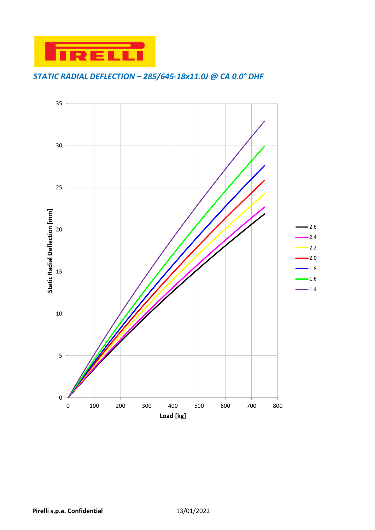

### *STATIC RADIAL DEFLECTION – 285/645-18x11.0J @ CA 0.0° DHF*

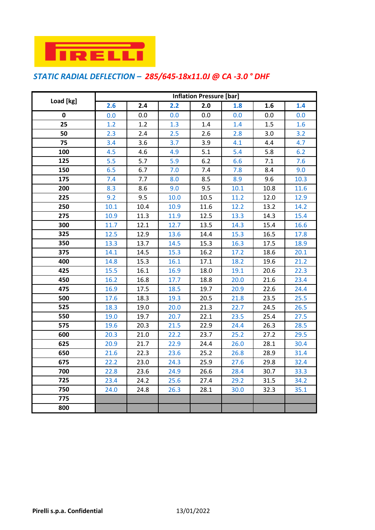

### *STATIC RADIAL DEFLECTION – 285/645-18x11.0J @ CA -3.0 ° DHF*

|           | <b>Inflation Pressure [bar]</b> |      |      |       |      |      |      |  |  |
|-----------|---------------------------------|------|------|-------|------|------|------|--|--|
| Load [kg] | 2.6                             | 2.4  | 2.2  | 2.0   | 1.8  | 1.6  | 1.4  |  |  |
| 0         | 0.0                             | 0.0  | 0.0  | 0.0   | 0.0  | 0.0  | 0.0  |  |  |
| 25        | 1.2                             | 1.2  | 1.3  | 1.4   | 1.4  | 1.5  | 1.6  |  |  |
| 50        | 2.3                             | 2.4  | 2.5  | 2.6   | 2.8  | 3.0  | 3.2  |  |  |
| 75        | 3.4                             | 3.6  | 3.7  | 3.9   | 4.1  | 4.4  | 4.7  |  |  |
| 100       | 4.5                             | 4.6  | 4.9  | 5.1   | 5.4  | 5.8  | 6.2  |  |  |
| 125       | 5.5                             | 5.7  | 5.9  | $6.2$ | 6.6  | 7.1  | 7.6  |  |  |
| 150       | 6.5                             | 6.7  | 7.0  | 7.4   | 7.8  | 8.4  | 9.0  |  |  |
| 175       | 7.4                             | 7.7  | 8.0  | 8.5   | 8.9  | 9.6  | 10.3 |  |  |
| 200       | 8.3                             | 8.6  | 9.0  | 9.5   | 10.1 | 10.8 | 11.6 |  |  |
| 225       | 9.2                             | 9.5  | 10.0 | 10.5  | 11.2 | 12.0 | 12.9 |  |  |
| 250       | 10.1                            | 10.4 | 10.9 | 11.6  | 12.2 | 13.2 | 14.2 |  |  |
| 275       | 10.9                            | 11.3 | 11.9 | 12.5  | 13.3 | 14.3 | 15.4 |  |  |
| 300       | 11.7                            | 12.1 | 12.7 | 13.5  | 14.3 | 15.4 | 16.6 |  |  |
| 325       | 12.5                            | 12.9 | 13.6 | 14.4  | 15.3 | 16.5 | 17.8 |  |  |
| 350       | 13.3                            | 13.7 | 14.5 | 15.3  | 16.3 | 17.5 | 18.9 |  |  |
| 375       | 14.1                            | 14.5 | 15.3 | 16.2  | 17.2 | 18.6 | 20.1 |  |  |
| 400       | 14.8                            | 15.3 | 16.1 | 17.1  | 18.2 | 19.6 | 21.2 |  |  |
| 425       | 15.5                            | 16.1 | 16.9 | 18.0  | 19.1 | 20.6 | 22.3 |  |  |
| 450       | 16.2                            | 16.8 | 17.7 | 18.8  | 20.0 | 21.6 | 23.4 |  |  |
| 475       | 16.9                            | 17.5 | 18.5 | 19.7  | 20.9 | 22.6 | 24.4 |  |  |
| 500       | 17.6                            | 18.3 | 19.3 | 20.5  | 21.8 | 23.5 | 25.5 |  |  |
| 525       | 18.3                            | 19.0 | 20.0 | 21.3  | 22.7 | 24.5 | 26.5 |  |  |
| 550       | 19.0                            | 19.7 | 20.7 | 22.1  | 23.5 | 25.4 | 27.5 |  |  |
| 575       | 19.6                            | 20.3 | 21.5 | 22.9  | 24.4 | 26.3 | 28.5 |  |  |
| 600       | 20.3                            | 21.0 | 22.2 | 23.7  | 25.2 | 27.2 | 29.5 |  |  |
| 625       | 20.9                            | 21.7 | 22.9 | 24.4  | 26.0 | 28.1 | 30.4 |  |  |
| 650       | 21.6                            | 22.3 | 23.6 | 25.2  | 26.8 | 28.9 | 31.4 |  |  |
| 675       | 22.2                            | 23.0 | 24.3 | 25.9  | 27.6 | 29.8 | 32.4 |  |  |
| 700       | 22.8                            | 23.6 | 24.9 | 26.6  | 28.4 | 30.7 | 33.3 |  |  |
| 725       | 23.4                            | 24.2 | 25.6 | 27.4  | 29.2 | 31.5 | 34.2 |  |  |
| 750       | 24.0                            | 24.8 | 26.3 | 28.1  | 30.0 | 32.3 | 35.1 |  |  |
| 775       |                                 |      |      |       |      |      |      |  |  |
| 800       |                                 |      |      |       |      |      |      |  |  |